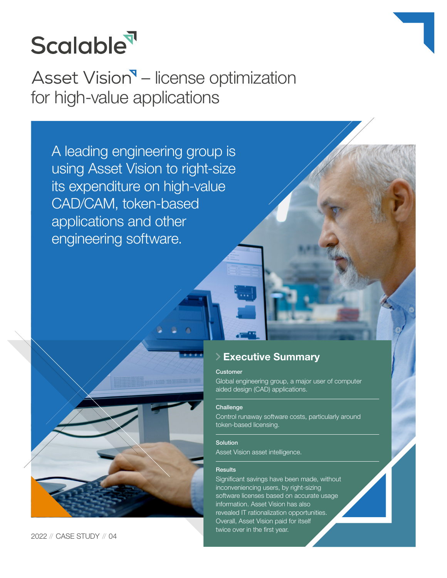

Asset Vision<sup>9</sup> – license optimization for high-value applications

A leading engineering group is using Asset Vision to right-size its expenditure on high-value CAD/CAM, token-based applications and other engineering software.



2022 // CASE STUDY // 04

## **Executive Summary**

## **Customer**

Global engineering group, a major user of computer aided design (CAD) applications.

## **Challenge**

Control runaway software costs, particularly around token-based licensing.

#### Solution

Asset Vision asset intelligence.

### **Results**

Significant savings have been made, without inconveniencing users, by right-sizing software licenses based on accurate usage information. Asset Vision has also revealed IT rationalization opportunities. Overall, Asset Vision paid for itself twice over in the first year.